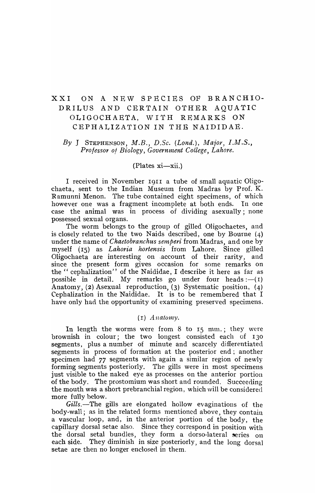# XXI ON A NEW SPECIES OF BRANCHIO-DRILUS AND CERTAIN OTHER AQUATIC OLIGOCHAETA, WITH REMARKS ON CEPHALIZATION IN THB NAIDIDAE.

# *By* J STEPHENSON, *M.B.*, *D.Sc.* (*Lond.*), *Major*, *I.M.S.*, Professor of Biology, Government College, Lahore.

#### $(Plates xi-xii.)$

I received in November 1911 a tube of small aquatic Oligochaeta, sent to the Indian Museum from Madras by Prof. K. Ramunni Menon. The tube contained eight specimens, of which however one was a fragment incomplete at both ends. In one case the animal was in process of dividing asexually; none possessed sexual organs.

The worm belongs to the group of gilled Oligochaetes, and is closely related to the two Naids described, one by Bourne (4) under the name of *Chaetobranchus semperi* from Madras, and one by myself (15) as *Lahoria hortensis* from Lahore. Since gilled Oligochaeta are interesting on ,account of their rarity, and since the present form gives occasion for some remarks on the" cephalization" of the Naididae, I describe it here as far as possible in detail. My remarks go under four heads : $-(1)$ Anatomy, (2) Asexual reproduction, (3) Systematic position, (4) Cephalization in the Naididae. It is to be remembered that I have only had the opportunity of examining preserved specimens.

# $(I)$  Anatomy.

In length the worms were from  $8$  to  $15$  mm.; they were brownish in colour; the two longest consisted each of 130 segments, plus a number of minute and scarcely differentiated segments in process of formation at the posterior end; another specimen had 77 segments with again a similar region of newly forming segments posteriorly. The gills were in most specimens just visible to the naked eye as processes on the anterior portion of the body, The prostomium was short and rounded. Succeeding the mouth was a short prebranchial region, which will be considered more fully below.

Gills.-The gills are elongated hollow evaginations of the  $body$ -wall; as in the related forms mentioned above, they contain a vascular loop, and, in the anterior portion of the body, the capillary dorsal setae also. Since they correspond in position with the dorsal setal bundles, they form a dorso-lateral series on each side. They diminish in size posteriorly, and the long dorsal setae are then no longer enclosed in them.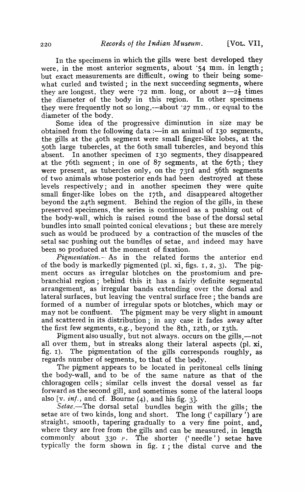In the specimens in which the gills were best developed they were, in the most anterior segments, about  $\cdot$ 54 mm. in length; but exact measurements are difficult, owing to their being somewhat curled and twisted; in the next succeeding segments, where they are longest, they were .72 mm. long, or about  $2-2\frac{1}{2}$  times the diameter of the body in this region. In other specimens they were frequently not so long,--about  $27 \text{ mm}$ , or equal to the diameter of the body.

Some idea of the progressive diminution in size may be obtained from the following data :- in an animal of 130 segments, the gills at the 40th segment were small finger-like lobes, at the 50th large tubercles, at the 60th small tubercles, and beyond this absent. In another specimen of 130 segments, they disappeared at the 76th segment; in one of  $87$  segments, at the  $67th$ ; they were present, as tubercles only, on the 73rd and 56th segments of two animals whose posterior ends had been destroyed at these levels respectively; and in another specimen they were quite small finger-like lobes on the I7th, and disappeared altogether beyond the 24th segment. Behind the region of the gills, in these preserved specimens, the series is continued as a pushing out of the body-wall, which is raised round the base of the dorsal setal bundles into small pointed conical elevations; but these are merely such as would be produced by a contraction of the muscles of the setal sac pushing out the bundles of setae, and indeed may have been so produced at the moment of fixation.

*Pigmentation.* As in the related forms the anterior end of the body is markedly pigmented (pI. xi, figs. I, 2, 3). The pigment occurs as irregular blotches on the prostomium and prebranchial region; behind this it has a fairly definite segmental arrangement, as irregular bands extending over the dorsal and lateral surfaces, but leaving the ventral surface free; the bands are formed of a number of irregular spots or blotches, which may or may not be confluent. The pigment may be very slight in amount and scattered in its distribution; in any case it fades away after the first few segments, e.g., beyond the 8th, 12th, or 13th.

Pigment also usually, but not always. occurs on the gills,-not all over them, but in streaks along their lateral aspects (pI. xi, fig. 1). The pigmentation of the gills corresponds roughly, as regards nunlber of segments, to that of the body.

The pigment appears to be located in peritoneal cells lining the body-wall, and to be of the same nature as that of the chloragogen cells; similar cells invest the dorsal vessel as far forward as the second gill, and sometimes some of the lateral loops also  $[v. int.$ , and cf. Bourne  $(4)$ , and his fig. 3].

Setae.-The dorsal setal bundles begin with the gills; the setae are of two kinds, long and short. The long (' capillary') are straight, smooth, tapering gradually to a very fine point, and, where they are free from the gills and can be measured, in length commonly about  $330$   $\mu$ . The shorter ('needle') setae have typically the form shown in fig. I ; the distal curve and the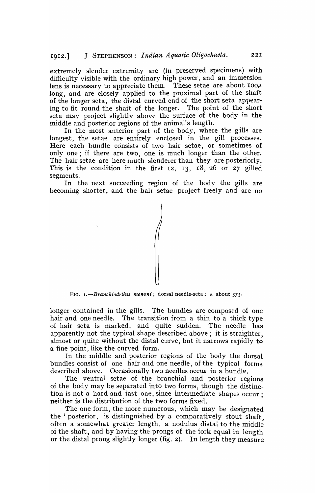extremely slender extremity are (in preserved specimens) with difficulty visible with the ordinary high power, and an immersion lens is necessary to appreciate them. These setae are about  $100\mu$ long, and are closely applied to the proximal part of the shaft of the longer seta, the distal curved end of the short seta appearing to fit round the shaft of the longer. The point of the short seta may project slightly above the surface of the body in the middle and posterior regions of the animal's length.

In the most anterior part of the body, where the gills are longest, the setae are entirely enclosed in the gill processes. Here each bundle consists of two hair setae, or sometimes of only one; if there are two, one is much longer than the other. The hair setae are here much slenderer than they are posteriorly. This is the condition in the first 12, 13, 18, 26 or 27 gilled segments.

In the next succeeding region of the body the gills are becoming shorter, and the hair setae project freely and are no



FIG. *I.-Branckiodrilus menoni;* dorsal needle-seta; x about 375·

longer contained in the gills. The bundles are composed of one hair and one needle. The transition from a thin to a thick type of hair seta is marked, and quite sudden. The needle has apparently not the typical shape described above; it is straighter, almost or quite without the distal curve, but it narrows rapidly to a fine point, like the curved form.

In the middle and posterior regions of the body the dorsal bundles consist of one hair and one needle, of the typical forms described above. Occasionally two needles occur in a bundle.

The ventral setae of the branchial and posterior regions of the body may be separated into two forms, though the distinction is not a hard and fast one, since intermediate shapes occur; neither is the distribution of the two forms fixed.

The one form, the rnore numerous, which may be designated the' posterior, is distinguished by a comparatively stout shaft, often a somewhat greater length, a nodulus distal to the middle of the shaft, and by having the prongs of the fork equal in length or the distal prong slightly longer (fig. 2). In length they measure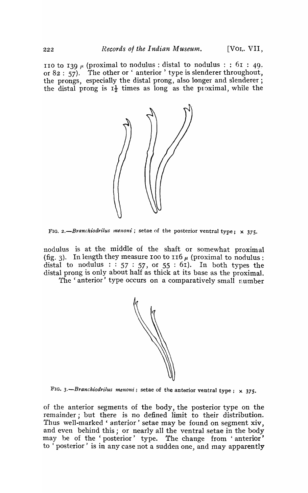110 to 139  $\mu$  (proximal to nodulus: distal to nodulus: : 61: 49. or  $82 : 57$ ). The other or ' anterior' type is slenderer throughout, the prongs, especially the distal prong, also longer and slenderer; the distal prong is  $I_2^1$  times as long as the proximal, while the



FIG. 2.-Branchiodrilus menoni; setae of the posterior ventral type; x 375.

nodulus is at the middle of the shaft or somewhat proximal (fig. 3). In length they measure 100 to 116  $\mu$  (proximal to nodulus: distal to nodulus :  $57 : 57$ , or  $55 : 61$ . In both types the distal prong is only about half as thick at its base as the proximal.

The 'anterior' type occurs on a comparatively small number



FIG. 3.-Branchiodrilus menoni; setae of the anterior ventral type; x 375.

of the anterior segments of the body, the posterior type on the remainder; but there is no defined limit to their distribution. Thus well-marked' anterior' setae may be found on segment xiv, and even behind this; or nearly all the ventral setae in the body may be of the 'posterior' type. The change from 'anterior' to 'posterior' is in any case not a sudden one, and may apparently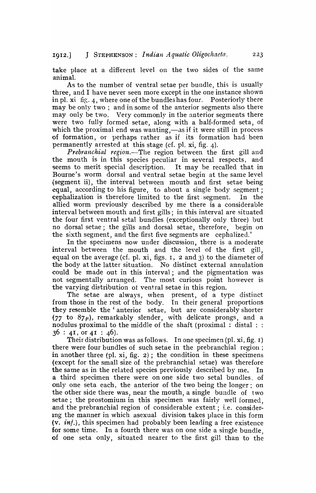take place at a different level on the two sides of the same animal.

As to the number of ventral setae per bundle, this is usually three, and I have never seen more except in the one instance shown in pl. xi fig. 4, where one of the bundles has four. Posteriorly there may be only two; and in some of the anterior segments also there may only be two. Very commonly in the anterior segments there were two fully formed setae, along with a half-formed seta, of which the proximal end was wanting,—as if it were still in process of formation, or perhaps rather as if its formation had' been permanently arrested at this stage (cf. pI. xi, fig. 4).

*Prebranchial region.-The* region between the first gill and the mouth is in this species peculiar in several respects, and seems to merit special description. It may be recalled that in Bourne's worm dorsal and ventral setae begin at the same level (segment ii), the interval between mouth and first setae being equal, according to his figure, to about a single body segment; cephalization is therefore limited to the first. segment. In the allied worm previously described by me there is a considerable interval between mouth and first gills; in this interval are situated the four first ventral setal bundles (exceptionally only three) but no dorsal setae; the gills and dorsal setae, therefore, begin on the sixth segment, and the first five segments are cephalized.'

In the specimens now under discussion, there is a moderate interval between the mouth and the level of the first gill, equal on the average (cf. pl. xi, figs. I, 2 and 3) to the diameter of the body at the latter situation. No distinct external annulation could be made out in this interval; and the pigmentation was not segmentally arranged. The most curious point however is the varying distribution of ventral setae in this region.

The setae are always, when present, of a type distinct from those in the rest of the body. In their general proportions they resemble the' anterior setae, but are considerably shorter  $(77 \text{ to } 87 \mu)$ , remarkably slender, with delicate prongs, and a nodulus proximal to the middle of the shaft (proximal : distal : :  $36: 41, 0141: 46$ .

Their distribution was as follows. In one specimen (pI. xi, fig. r) there were four bundles of such setae in the prebranchial region; in another three (pI. xi, fig. 2); the condition in these specimens (except for the small size of the prebranchial setae) was therefore the same as in the related species previously described by me. a third specimen there were on one side two setal bundles. of only one seta each, the anterior of the two being the longer; on the other side there was, near the mouth, a single bundle of two setae; the prostomium in this specimen was fairly well formed, and the prebranchial region of considerable extent; i.e. considerlng the manner in which asexual division takes place in this form (v. *inf.*), this specimen had probably been leading a free existence for some time. In a fourth there was on one side a single bundle, of one seta only, situated nearer to the first gill than to the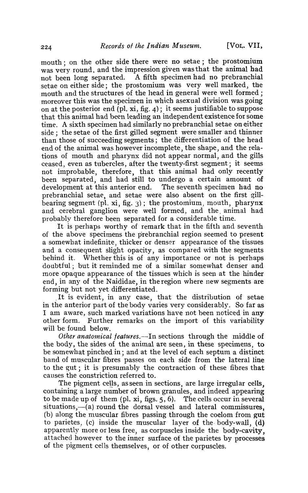mouth; on the other side there were no setae; the prostomium was very round. and the impression given was that the animal had not been long separated. A fifth specimen had no prebranchial setae on either side; the prostomium was very well marked, the mouth and the structures of the head in general were well formed; moreover this was the specimen in which asexual division was going on at the posterior end (pI. xi, fig. 4); it seems justifiable to suppose that this animal had been leading an independent existence for some time. A sixth specimen had similarly no prebranchial setae on either side; the setae of the first gilled segment were smaller and thinner than those of succeeding segments; the differentiation of the head end of the animal was however incomplete, the shape, and the relations of mouth and pharynx did not appear normal, and the gills ceased, even as tubercles, after the twenty-first segment; it seems not improbable, therefore, that this animal had only recently been separated, and had still to undergo a certain amount of development at this anterior end. The seventh specimen had no development at this anterior end. prebranchial setae, and setae were also absent on the first gillbearing segment (pl. xi, fig. 3); the prostomium, mouth, pharynx and cerebral ganglion were well formed, and the, animal had probably therefore been separated for a considerable time.

It is perhaps worthy of remark that in the fifth and seventh of the above specimens the prebranchial region seemed to present a somewhat indefinite, thicker or denser appearance of the tissues and a consequent slight opacity, as' compared with the segments behind it. Whether this is of any importance or not is perhaps doubtful; but it reminded me of a similar somewhat denser and more opaque appearance of the tissues which is seen at the hinder end, in any of the Naididae, in the region where new segments are forming but not yet differentiated .

. It is evident, in any case, that the distribution of setae in the anterior part of the body varies very consider ably. So far as I am aware, such marked variations have not been noticed in any other form. Further remarks on the import of this variability will be found below.

*Other anatomical features.*--In sections through the middle of the body, the sides of the animal are seen, in these specimens, to be somewhat pinched in; and at the level of each septum a distinct band of muscular fibres passes on each side from the lateral line to the gut; it is presumably the contraction of these fibres that canses the constriction referred to.

The pigment cells, as seen in sections, are large irregular cells, containing a large number of brown granules, and indeed appearing to be made up of them (pI. xi, figs. 5, 6). The cells occur in several  $situations, —(a)$  round the dorsal vessel and lateral commissures, (b) along the muscular fibres passing through the coelom from gut to parietes, (c) inside the muscular layer of the body-wall,  $(d)$ apparently more or less free, as corpuscles inside the body-cavity, attached however to the inner surface of the parietes by processes of the pigment cells themselves, or of other corpuscles.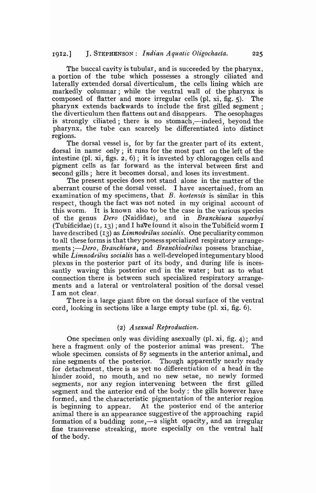The buccal cavity is tubular, and is succeeded by the pharynx, a portion of the tube which possesses a strongly ciliated and laterally extended dorsal diverticulum, the cells lining which are markedly columnar; while the ventral wall of the pharynx is composed of flatter and more irregular cells (pI. xi, fig. 5). The pharynx extends backwards to include the first gilled segment; the diverticulum then flattens out and disappears. The oesophagus is strongly ciliated; there is no stomach,—indeed, beyond the pharynx, the tube can scarcely be differentiated into distinct regions.

The dorsal vessel is, for by far the greater part of its extent, dorsal in name only; it runs for the most part on the left of the intestine (pl. xi, figs.  $2, 6$ ); it is invested by chloragogen cells and pigment cells as far forward as the interval between first and second gills; here it becomes dorsal, and loses its investment.

The present species does not stand alone in the matter of the aberrant course of the dorsal vessel. I have ascertained, from an examination of my specimens, that *B. hortensis* is similar in this respect, though the fact was not noted in my original account of this worm. It is known also to be the case in the various species of the genus *Dero* (N aididae), and in *Branchiura sowerbyi*  (Tubificidae)  $(1, 13)$ ; and I have found it also in the Tubificid worm I have described (13) as *Limnodrilus socialis*. One peculiarity common to all these forms is that they possess specialized respiratory arrangements *;-Dero, Branchiura,* and *Branchiodrilus* possess branchiae, while *Linnodrilus socialis* has a well-developed integumentary blood plexus in the posterior part of its body, and during life is incessantly waving this posterior end' in the water; but as to what connection there is between such specialized respiratory arrangements and a lateral or ventrolateral position of the dorsal vessel I am not clear.

There is a large giant fibre on the dorsal surface of the ventral cord, looking in sections like a large empty tube (pI. xi, fig. 6).

#### (2) *A sexual Reproduction.*

One specimen only was dividing asexually (pI. xi, fig. 4); and here a fragment only of the posterior animal was present. The whole specimen consists of 87 segments in the anterior animal, and nine segments of the posterior. Though apparently nearly ready for detachment, there is as yet no differentiation of a head in the hinder zooid, no mouth, and 110 new setae, no newly formed segments, nor any region intervening between the first gilled segment and the anterior end of the body; the gills however have formed, and the characteristic pigmentation of the anterior region is beginning to appear. At the posterior end of the anterior animal there is an appearance suggestive of the approaching rapid formation of a budding zone,-a slight opacity, and an irregular fine transverse streaking, more especially on the ventral half of the body.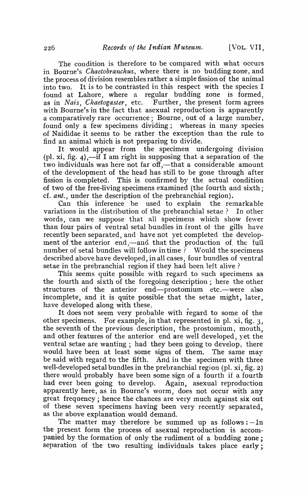The condition is therefore to be compared with what occurs in Bourne's *Chaetobranchus,* where there is no budding zone, and the process of division resembles rather a simple fission of the animal into two. It is to be contrasted in this respect with the species I found at Lahore., where a regular budding zone is formed, as in *Nais*, *Chaetogaster*, etc. Further, the present form agrees with Bourne's in the fact that asexual reproduction is apparently a comparatively rare occurrence; Bourne, out of a large number, found only a few specimens dividing; whereas in many species of Naididae it seems to be rather the exception than the rule to find an animal which is not preparing to divide.

It would appear from the specimen undergoing division (pl. xi, fig. 4),—if I am right in supposing that a separation of the two individuals was here not far off,—that a considerable amount of the development of the head has still to be gone through after fission is completed. This is confirmed by the actual condition of two of the free-living specimens examined (the fourth and sixth; cf. *ant.,* under the description of the prebranchial region).

Can this inference be used to explain the remarkable variations in the distribution of the prebranchial setae? In other words, can we suppose that all specimens which show fewer than four pairs of ventral setal bundles in front of the gills have recently been separated, and have not yet completed the development of the anterior end,—and that the production of the full number of setal bundles will follow in time ? Would the specimens described above have developed, in all cases, four bundles of ventral setae in the prebranchial region if they had been left alive?

This seems quite possible with regard to such specimens as the fourth and sixth of the foregoing description; here the other structures of the anterior end-prostomium etc.--were also incomplete, and it is quite possible that the setae might, later, have developed along with these.

It does not seem very probable with regard to some of the other specimens. For example, in that represented in pI. xi, fig. 3, the seventh of the previous description, the prostomium, mouth, and other features of the anterior end are well developed, yet the ventral setae are wanting ; had they been going to develop, there would have been at least some signs of them. The same may be said with regard to the fifth. And in the specimen with three well-developed setal bundles in the prebranchial region (pl.  $xi$ , fig. 2) there would probably have been some sign of a fourth if a fourth had ever been going to develop. Again, asexual reproduction apparently here, as in Bourne's worm, does not occur with any great frequency; hence the chances are very much against six out of these seven specimens having been very recently separated, as the above explanation would demand.

The matter may therefore be summed up as follows: $-In$ the present form the process of asexual reproduction is accompanied by the formation of only the rudiment of a budding zone; separation of the two resulting individuals takes place early;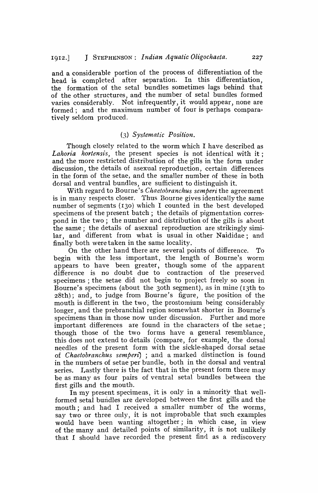and a considerable portion of the process of differentiation of the head is completed after separation. In this differentiation, the formation of the setal bundles sometimes lags behind that of the other structures, and the number of setal bundles formed varies considerably. Not infrequently, it would appear, none are formed; and the maximum number of four is perhaps comparatively seldom produced.

### *(3) Systernatic Position.*

Though closely related to the worm which I have described as Lahoria hortensis, the present species is not identical with it; and the more restricted distribution of the gills in 'the form under discussion, the details of asexual reproduction, certain differences in the fonn of the setae, and the smaller number of these in both dorsal and ventral bundles, are sufficient to distinguish it.

With regard to Bourne's *Chaetobranchus semperi* the agreement is in many respects closer. Thus Bourne gives identically the same number of segments (130) which I counted in the best developed specimens of the present batch; the details of pigmentation correspond in the two; the number and distribution of the gills is about the same; the details of asexual reproduction are strikingly similar, and different from what is usual in other Naididae; and finally both were taken in the same locality.

On the other hand there are several points of difference. To begin with the less important, the length of Bourne's worm appears to have been greater, though some of the apparent difference is no doubt due to contraction of the preserved specimens; the setae did not begin to project freely so soon in Bourne's specimens (about the 30th segment), as in mine (13th to 28th); and, to judge from Bourne's figure, the position of the mouth is different in the two, the prostomium heing considerably longer, and the prebranchial region somewhat shorter in Bourne's specimens than in those now under discussion. Further and more important differences are found in the characters of the setae; though those of the two forms have a general resemblance, this does not extend to details (compare, for example, the dorsal needles of the present form. with the sickle-shaped dorsal setae of *Chaetobranchus semperi)* ; and a marked distinction is found in the numbers of setae per bundle, both in the dorsal and ventral series. Lastly there is the fact that in the present form there may be as many as four pairs of ventral setal bundles between the first gills and the mouth.

In my present specimens, it is only in a minority that wellformed setal bundles are developed between the first gills and the mouth; and had I received a smaller number of the worms, say two or three only, it is not improbable that such examples would have been wanting altogether; in which case, in view of the many and detailed points of similarity, it is not unlikely that I should have recorded the present find as a rediscovery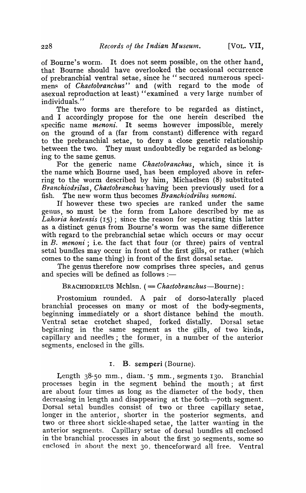of Bourne's worm. It does not seem possible, on the other hand, that Bourne should have overlooked the occasional occurrence of prebranchial ventral setae, since he "secured numerous specimens of *Chaetobranchus*" and (with regard to the mode of asexual reproduction at least) "examined a very large number of individuals."

The two forms are therefore to be regarded as distinct, and I accordingly propose for the one herein described the specific name *menoni*. It seems however impossible, merely on the ground of a (far from constant) difference with regard to the prebranchial setae, to deny a close genetic relationship between the two. They must undoubtedly be regarded as belonging to the same genus.

For the generic name *Chaetobranchus,* which, since it is the name which Bourne used, has been employed above in referring to the worm described by him, Michaelsen (8) substituted *Branchiodrilus, Chaetobranchus·having* been previously used for a fish. The new worm thus becomes *Branchiodrilus menoni*.

If however these two species are ranked under the same genus, so must be the form from Lahore described by me as *Lahoria hortensis* (15); since the reason for separating this latter as a distinct genus from Bourne's worm was the same difference with regard to the prebranchial setae which occurs or may occur in *B. menoni*; i.e. the fact that four (or three) pairs of ventral setal bundles may occur in front of the first gills, or rather (which comes to the same thing) in front of the first dorsal setae.

The genus therefore now comprises three species, and genus and species will be defined as follows  $:$ -

## BRACHIODRILUS Mchlsn. (= *Chaetobranchus*-Bourne):

Prostomium rounded. A pair of dorso-Iaterally placed branchial processes on many or most of the body-segments, beginning immediately or a short distance behind the mouth. Ventral setae crotchet shaped, forked distally. Dorsal setae beginning in the same segment as the gills, of two kinds, capillary and needles; the former, in a number of the anterior segments, enclosed in the gills.

## I. B. semperi (Bourne).

Length  $38-50$  mm., diam.  $5$  mm., segments 130. Branchial processes begin in the segment behind the mouth; at first are about four times as long as the diameter of the body, then decreasing in length and disappearing at the 60th-70th segment. Dorsal setal bundles consist of two or three capillary setae, longer in the anterior, shorter in the posterior segments, and two or three short sickle-shaped setae, the latter wanting in the anterior segments. Capillary setae of dorsal bundles all enclosed in the branchial processes in about the first 30 segments, some so enclosed in ahout the next 30, thenceforward all free. Ventral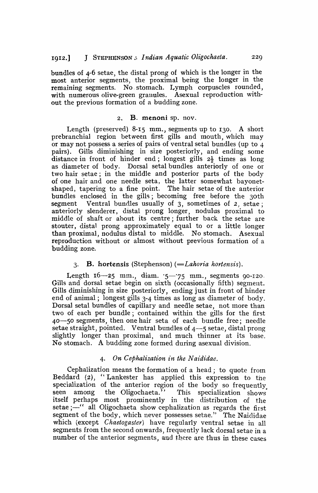bundles of 4-6 setae, the distal prong of which is the longer in the most anterior segments, the proximal being the longer in the remaining segments. No. stomach. Lymph corpuscles rounded, with numerous olive-green granules. Asexual reproduction without the previous formation of a budding zone.

#### 2. B. menoni sp. nov.

Length (preserved) 8-15 mm., segments up to I30. A short prebranchial region between first gills and mouth, which may or may not possess a series of pairs of ventral setal bundles (up to 4 pairs). Gills diminishing in size posteriorly, and ending some distance in front of hinder end; longest gills  $2\frac{1}{2}$  times as long as diameter of body. Dorsal setal bundles anteriorly of one or two hair setae; in the middle and posterior parts of the body of one hair and one needle seta, the latter somewhat bayonetshaped, tapering to a fine point. The hair setae of the anterior bundles enclosed in the gills; becoming free before the 30th segment Ventral bundles usually of  $3$ , sometimes of  $2$ , setae; anteriorly slenderer, distal prong longer, nodulus proximal to middle of shaft or about its centre; further back the setae are stouter, distal prong approximately equal to or a little longer than proximal, nodulus distal to middle. No stomach. Asexual reproduction without or almost without previous formation of a budding zone.

## 3. B. hortensis (Stephenson) *(=Lahoria hortensis).*

Length  $16-25$  mm., diam.  $5-75$  mm., segments  $90-120$ . Gills and dorsal setae begin on sixth (occasionally fifth) segment. Gills diminishing in size posteriorly, ending just in front of hinder end of animal; longest gills 3-4 times as long as diameter of body. Dorsal setal bundles of capillary and needle setae, not more than two of each per bundle; contained within the gills for the first 40-50 segments, then one hair seta of each bundle free; needle setae straight, pointed. Ventral bundles of  $4-5$  setae, distal prong slightly longer than proximal, and much thinner at its base. No stomach. A budding zone formed during asexual division.

### *4. On Cephalization £n the N a£didae.*

Cephalization means the formation of a head; to quote from Beddard (2), "Lankester has applied this expression to the specialization of the anterior region of the body so frequently seen among the Oligochaeta." This specialization shows itself perhaps most prominently in the distribution of the setae ;- " all Oligochaeta show cephalization as regards the first segment of the body, which never possesses setae." The Naididae which (except *Chaetogaster)* have regularly ventral setae in all segments from the second onwards, frequently lack dorsal setae in a number of the anterior segments, and there are thus in these cases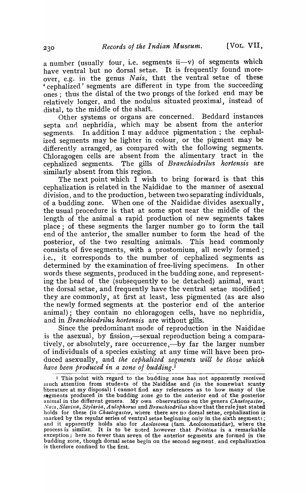a number (usually four, i.e. segments  $ii-v$ ) of segments which have ventral but no dorsal setae. It is frequently found moreover, e.g. in the genus *Nais*, that the ventral setae of these 'cephalized' segments are different in type from the succeeding ones; thus the distal of the two prongs of the forked end may be relatively longer, and the nodulus situated proximal, instead of distal, to the middle of the shaft.

Other systems or organs are concerned. Beddard instances septa and nephridia, which may be absent from the anterior segments. In addition I may adduce pigmentation; the cephalized segments may be lighter in colour, or the pigment may be differently arranged, as compared with the following segments. Chloragogen cells are absent from the alimentary tract in the cephalized segments. The gills of *Branchiodrilus hortensis* are similarly absent from this region.

The next point which I wish to bring forward is that this cephalization is related in the Naididae to the manner of asexual division, and to the production, between two separating individuals, of a budding zone. When one of the Naididae divides asexually, the usual procedure is that at some spot near the middle of the length of the animal a rapid production of new segments takes place; of these segments the larger number go to form the tail end of the anterior, the smaller number to form the head of the posterior, of the two resulting animals. This head commonly consists of five segments, with a prostomium, all newly formed; i.e., it corresponds to the number of cephalized segments as determined by the examination of free-living specimens. In other words these segments, produced in the budding zone, and representing the head of the (subsequently to be detached) animal, want the dorsal setae, and frequently have the ventral setae modified; they are commonly, at first at least, less pigmented (as are also the newly formed segments at the posterior end of the anterior animal); they contain no chloragogen cells, have no nephridia. and in *Branchiodrilus hortensis* are without gills.

Since the predominant mode of reproduction in the Naididae is the asexual, by fission,—sexual reproduction being a comparatively, or absolutely, rare occurrence,—by far the larger number of individuals of a species existing at any time will have been produced asexually, and *the cephalized segments will be those which have been produced in a zone of budding.* <sup>1</sup>

I This point with regard to the budding zone has not apparently received much attention from students of the Naididae and (in the somewbat scanty literature at my disposal) I cannot find any references as to how many of the stgments produced in the budding zone go to the anterior end of the posterior animal in the different genera. My own observations on the genera *Chaetogaster*, Nais, Slavina, Stylaria, Aulophorus and *Branchiodrilus* show that the rule just stated holds for these (in *Chaetogaster*, where there are no dorsal setae, cephalization is marked by the regular series of ventral setae beginning only in the sixth segment); and it apparently holds also for *Aeolosoma* (fam. Aeolosomatidae), where the process is similar. It is to be noted however that *Pristina* is a remarkable exception; here no fewer than seven of the anterior segments are formed in the budding zone, though dorsal setae begin on the second segment, and cephalization is therefore confined to the first.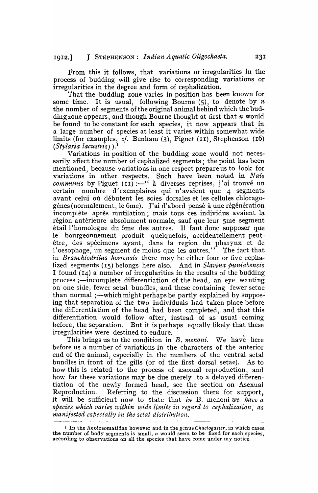From this it follows, that variations or irregularities in the process of budding will give rise to corresponding variations or irregularities in the degree and form of cephalization.

That the budding zone varies in position has been known for some time. It is usual, following Bourne (5), to denote by *n*  the number of segments of the original animal behind which the budding zone appears, and though Bourne thought at first that *n* would be found to be constant for each species, it now appears that in. a large number of species at least it varies within somewhat wide limits (for examples, *ct.* Benham (3), Piguet (II), Stephenson (16) *(Stylaria lacustris)* ).1

Variations in position of the budding zone would not necessarily affect the number of cephalized segments; the point has been mentioned, because variations in one respect prepare us to look for variations in other respects. Such have been noted in *Nais communis* by Piguet (II) :- " à diverses reprises, j'ai trouvé un certain nombre d'exemplaires qui n'avaient que 4 segments avant celui où débutent les soies dorsales et les cellules chloragogénes (normalement, le 6me). J'ai d'abord pensé à une régénération incomplete apres mutilation; mais tous ces individus avaient la région antèrieure absolument normale, sauf que leur 5me segment etai1I'homologue du 6me des autres. II faut done supposer que le bourgeonnement produit quelquefois, accidentellement peutêtre, des spécimens ayant, dans la region du pharynx et de l'oesophage, un segment de moins que les autres." The fact that in *Branchiodrilus hortensis* there may be either four or five cephalized segments (15) belongs here also. And in *Slavina puniabensis*  I found  $(I_4)$  a number of irregularities in the results of the budding process;—incomplete differentiation of the head, an eye wanting on one side, fewer setal bundles, and these containing fewer setae than normal ;—which might perhaps be partly explained by supposing that separation of the two individuals had taken place before the differentiation of the head had been completed, and that this differentiation would follow after, instead of as usual coming before, the separation. But it is perhaps equally likely that these irregularities were destined to endure.

This brings us to the condition in  $B$ . menoni. We have here before us a number of variations in the characters of the anterior end of the animal, especially in the numbers of the ventral setal bundles in front of the gills (or of the first dorsal setae). As to how this is related to the process of asexual reproduction, and how far these variations may be due merely to a delayed differentiation of the newly formed head, see the section on Asexual Reproduction. Referring to the discussion there for support, it will be sufficient now to state that *in* B. menoni *we have a*  species which varies within wide limits in regard to cephalization, as *manifested especially in the setal distribution.* 

<sup>1</sup> In the Aeolosomatidae however and in the genus *Chaetogaster,* in which cases the number of body segments is small, *11.* would seem to be fixed for each species, according to observations on all the species that have come under my notice.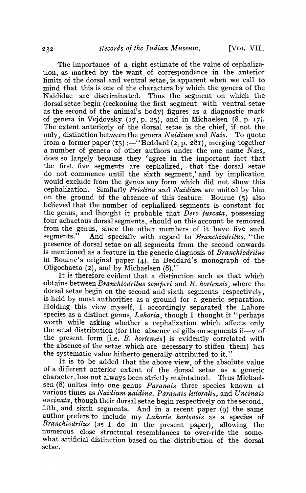The importance of a right estimate of the value of cephalization, as marked by the want of correspondence in the anterior limits of the dorsal and ventral setae, is apparent when we call to mind that this is one of the characters by which the genera of the Naididae are discriminated. Thus the segment on which the dorsal setae begin (reckoning the first segment with ventral setae as the second of the animal's body) figures as a diagnostic mark of genera in Vejdovsky (17, p. 25), and in Michaelsen (8, p. 17). The extent anteriorly of the dorsal setae is the chief, if not the only, distinction between the genera *Naidium* and *Nais.* To quote from a former paper  $(15)$ :—"Beddard  $(2, p. 281)$ , merging together a number of genera of other authors under the one name *Nais,*  does so largely because they 'agree in the important fact that the first five segments are cephalized,—that the dorsal setae do not commence until the sixth segment,' and by implication would exclude from the genus any form which did not show this cephalization. Similarly *Pristina* and *Naidium* are united by him on the ground of the absence of this feature. Bourne (5) also believed that the number of cephalized segments is constant for the genus, and thought it probable that *Dero furcata,* possessing four achaetous dorsal segments, should on this account be removed from the genus, since the other members of it have five such segments." And specially with regard to *Branchiodrilus*. "the And specially with regard to *Branchiodrilus*, "the presence of dorsal setae on all segments from the second onwards is mentioned as a feature in the generic diagnosis of *Branchiodrilus*  in Bourne's original paper (4), in Beddard's monograph of the Oligochaeta (2), and by Michaelsen  $(8)$ ."

It is therefore evident that a distinction such as that which obtains between *Branchiodrilus sempcri* and *B. hortensis,* where the dorsal setae begin on the second and sixth segments respectively, is held by most authorities as a ground for a generic separation. Holding this view myself, I accordingly separated the Lahore species as a distinct genus, *Lahoria*, though I thought it "perhaps worth while asking whether a cephalization which affects only the setal distribution (for the absence of gills on segments  $ii-v$  of the present form [i.e. *B. hortensis*] is evidently correlated with the absence of the setae which are necessary to stiffen them) has the systematic value hitherto generally attributed to it."

It is to be added that the above view, of the absolute value of a different anterior extent of the dorsal setae as a generic character, has not always been strictly maintained. Thus Michaelsen (8) unites into one genus *Paranais* three species known at various times as *Naidium naidina, Paranais littoralis*, and *Uncinais uncinata,* though their dorsal setae begin respectively on the second, fifth, and sixth segments. And in a recent paper (9) the same author prefers to include my *Lahoria hortensis* as a species of *Branchiodrilus* (as I do in the present paper), allowing the numerous close structural resemblances to over-ride the somewhat artificial distinction based on the distribution of the dorsal setae.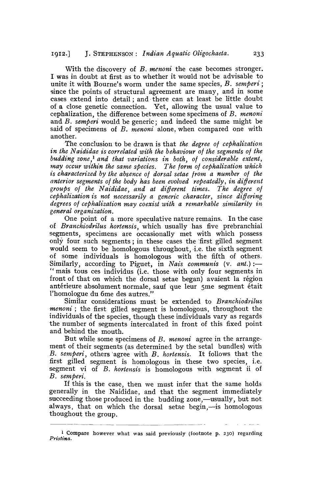With the discovery of *B. menoni* the case becomes stronger. I was in doubt at first as to whether it would not be advisable to unite it with Bourne's worm under the same species, *B. semperi;*  since the points of structural agreement are many, and in some cases extend into detail; and· there can at least be little doubt of a close genetic connection. Yet, allowing the usual value to cephalization, the difference between some specimens of *B. menon'i*  and *B. semperi* would be generic; and indeed the same might be said of specimens of *B. menoni* alone, when compared one with another.

The conclusion to be drawn is that *the degree 01 cephalization*  in the Naididae is correlated with the behaviour of the segments of the *budding zone,I and that variations in both, 01 considerable extent, may occur within the same species. The form of cephalization which* is characterized by the absence of dorsal setae from a number of the *anterior segments 01 the body has been evolved repeatedly, in different*  groups of the Naididae, and at different *times*. The degree of *cephalization is not necessarily a generic character, since differing degrees 01 cephalization may coexist with a remarkable similarity in general organization.* 

One point of a more speculative nature remains. In the case of *Branchiodrilus hortensis,* which usually has five prebranchial segments, specimens are occasionally met with which possess only four such segments; in these cases the 'first gilled segment would seem to be homologous throughout, *i.e.* the sixth segment of some individuals is homologous with the fifth of others. Similarly, according to Piguet, in *Nais communis* (v. *ant.*):-"mais tous ces individus (i.e. those with only four segments in front of that on which the dorsal setae began) avaient la région antérieure absolument normale, sauf que leur 5me segment était l'homologue du 6me des autres."

Similar considerations must be extended to *Branchiodrilus menoni* ; the first gilled segment is homologous, throughout the individuals of the species, though these individuals vary as regards the number of segments intercalated in front of this fixed point and behind the mouth.

But while some specimens of *B. menoni* agree in the arrangement of their segments (as determined by the setal bundles) with *B. semperi,* others 'agree with *B. hortensis.* It follows that the first gilled segment is homologous in these two species, i.e. segment vi of *B. hortensis* is homologous with segment ii of *B.* semperi.

If this is the case, then we must infer that the same holds generally in the Naididae, and that the segment immediately succeeding those produced in the budding zone,—usually, but not always, that on which the dorsal setae begin,—is homologous thoughout the group.

<sup>1</sup> Compare however what was said previously (footnote p. 230) regarding *Pristina.*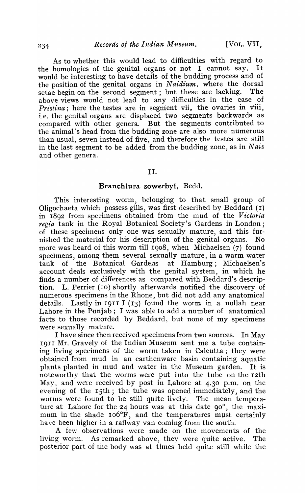As to whether this would lead to difficulties with regard to the homologies of the genital organs or not I cannot say. It would be interesting to have details of the budding process and of the position of the genital organs in *Naidium*, where the dorsal setae begin on the second segment; but these are lacking. The above views would not lead to any difficulties in the case of *Pristina*; here the testes are in segment vii, the ovaries in viii, i.e. the genital organs are displaced two segments backwards as compared with other genera. But the segments contributed to the animal's head from the budding zone are also more numerous than usual, seven instead of five, and therefore the testes are still in the last segment to be added from the budding zone, as in N *ais*  and other genera.

## II.

### Branchiura sowerbyi, Bedd.

This interesting worm, belonging to that small group of Oligochaeta which possess gills, was first described by Beddard (I) in 18g2 from specimens obtained from the mud of the *Victoria regia* tank in the Royal Botanical Society's Gardens in London; of these specimens only one was sexually mature, and this furnished the material for his description of the genital organs. No more was heard of this worm till Ig08, when Michaelsen (7) found specimens, among them several sexually mature, in a warm water tank of the Botanical Gardens at Hamburg; Michaelsen's account deals exclusively with the genital system, in which he finds a number of differences as compared with Beddard's description. L. Perrier (10) shortly afterwards notified the discovery of numerous specimens in the Rhone, but did not add any anatomical details. Lastly in  $I(13)$  found the worm in a nullah near Lahore in the Punjab; I was able to add a number of anatomical facts to those recorded by Beddard, but none of my specimens were sexually mature.

I have since then received specimens from two sources. In May 19I1 Mr. Gravely of the Indian Museum sent me a tube contain·· ing living specimens of the worm taken in Calcutta; they were obtained from mud in an earthenware basin containing aquatic plants planted in mud and water in the Museum garden. It is noteworthy that the worms were put into the tube on the 12th May, and were received by post in Lahore at  $4.30$  p.m. on the evening of the 15th; the tube was opened immediately, and the worms were found to be still quite lively. The mean temperature at Lahore for the 24 hours was at this date  $90^\circ$ , the maximum in the shade 106°F, and the temperatures must certainly have been higher in a railway van coming from the south.

A few observations were made on the movements of the living worm. As remarked above, they were quite active. The posterior part of the body was at times held quite still while the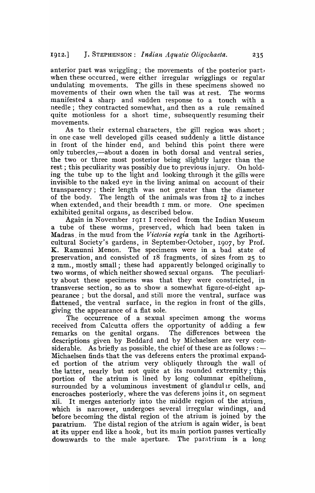anterior part was wriggling; the movements of the posterior part when these occurred, were either irregular wrigglings or regular undulating movements. The gills in these specimens showed no movements of their own when the tail was at rest. The worms manifested a sharp and sudden response to a touch with a needle; they contracted somewhat, and then as a rule remained quite motionless for a short time, subsequently resuming their movements.

As to their external characters, the gill region was short; in one case well developed gills ceased suddenly a little distance in front of the hinder end, and behind this point there were only tubercles,—about a dozen in both dorsal and ventral series, the two or three most posterior being slightly larger than the rest; this peculiarity was possibly due to previous injury. On holding the tube up to the light and looking through it the gills were invisible to the naked eye in the living animal on account of their transparency; their length was not greater than the diameter of the body. The length of the animals was from  $I_{\frac{1}{2}}$  to 2 inches when extended, and their breadth I mm. or more. One specimen exhibited genital organs, as described below.

Again in November 1911 I received from the Indian Museum a tube of these worms, preserved, which had been taken in Madras. in the mud from the *Victoria regia* tank in the Agrihorticultural Society's gardens, in September-October, 1907, by Prof. K. Ramunni Menon. The specimens were in a bad state of preservation, and consisted of 18 fragments, of sizes from 25 to 2 mm., mostly small; these had apparently belonged originally to two worms, of which neither showed sexual organs. The peculiarity about these specimens was that they were constricted, in transverse section, so as to show a somewhat figure-of-eight appearance; but the dorsal, and still more the ventral, surface was flattened, the ventral surface, in the region in front of the gills, giving the appearance of a flat sole.

The occurrence of a sexual specimen among the worms received from Calcutta offers the opportunity of adding a few<br>remarks on the genital organs. The differences between the remarks on the genital organs. descriptions given by Beddard and by Michaelsen are very considerable. As briefly as possible, the chief of these are as follows:  $-$ Michaelsen finds, that the vas deferens enters the proximal expanded portion of the atrium very obliquely through the wall of the latter, nearly but not quite at its rounded extremity; this portion of the atrium is lined by long columnar epithelium, surrounded by a voluminous investment of glandular cells, and encroaches posteriorly, where the vas deferens joins it, on segment xii. It merges anteriorly into the middle region of the atrium, which is narrower, undergoes several irregular windings, and before becoming the distal region of the atrium is joined by the paratrium. The distal region of the atrium is again wider, is bent at its upper end like a hook, but its main portion passes vertically downwards to the male aperture. The paratrium is a long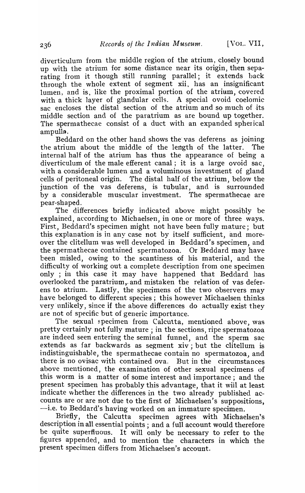diverticulum from the middle region of the atrium, closely bound up with the atrium for some distance near its origin, then separating from it though still running parallel; it extends back through the whole extent of segment xii, has an insignificant lumen, and is, like the proximal portion of the atrium, covered with a thick layer of glandular cells. A special ovoid coelomic sac encloses the distal section of the atrium and so much of its middle section and of the paratrium as are bound up together. The spermathecae consist of a duct with an expanded spherical ampulla.

Beddard on the other hand shows the vas deferens as joining the atrium about the middle of the length of the latter. The internal half of the atrium has thus the appearance of being a diverticulum of the male efferent canal; it is a large ovoid sac, with a considerable lumen and a voluminous investment of gland cells of peritoneal origin. The distal half of the atrium, below the junction of the vas deferens, is tubular, and is surrounded by a considerable muscular investment. The spermathecae are pear-shaped.

The differences briefly indicated above might possibly be explained, according to Michaelsen, in one or more of three ways. First, Beddard's specimen might not have been fully mature; but this explanation is in any case not by itself sufficient, and moreover the clitellum was well developed in Beddard's specimen, and the spermathecae contained spermatozoa. Or Beddard may have been misled, owing to the scantiness of his material, and the difficulty of working out a complete description from one specimen only ; in this case it may have happened that Beddard has overlooked the paratrium, and mistaken the relation of vas deferens to atrium. Lastly, the specimens of the two observers may have belonged to different species; this however Michaelsen thinks very "unlikely, since if the above differences do actually exist they are not of specific but of generic importance.

The sexual specimen from Calcutta, mentioned above, was pretty certainly not fully mature; in the sections, ripe spermatozoa are indeed seen entering the seminal funnel, and the sperm sac extends as far backwards as segment xiv; but the clitellum is indistinguishable, the spermathecae contain no spermatozoa, and there is no ovisac with contained ova. But in the circumstances above mentioned, the examination of other sexual specimens of this worm is a matter of some interest and importance; and the present specimen has probably this advantage, that it will at least indicate whether the differences in the two already published accounts are or are not due to the first of Michaelsen's suppositions, -i.e. to Beddard's having worked on an immature specimen.

Briefly, the Calcutta specimen agrees with Michaelsen's description in all essential points; and a full account would therefore be quite superfluous. It will only be necessary to refer to the figures appended, and to mention the characters in which the present specimen differs from Michaelsen's account.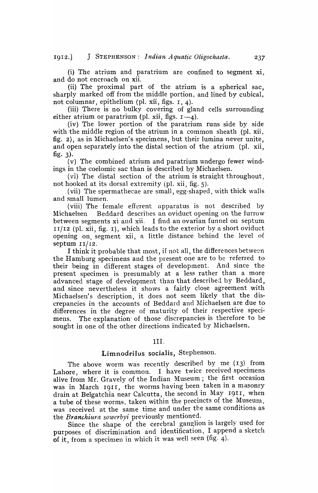(i) The atrium and paratrium are confined to segment xi, and do not encroach on xii.

(ii) The proximal part of the atrium is a spherical sac, sharply marked off from the middle portion, and lined by cubical, not columnar, epithelium (pl. xii, figs. 1, 4).

(iii) There is no bulky covering of gland cells surrounding either atrium or paratrium (pl. xii, figs.  $I = 4$ ).

(iv) The lower portion of the paratrium runs side by side with the middle region of the atrium in a common sheath (pl. xii, fig. 2), as in Michaelsen's specimens, but their lumina never unite, and open separately into the distal section of the atrium (pI. xii, fig.  $3$ ).

(v) The combined atrium and paratrium undergo fewer windings in the coelomic sac than is described by Michaelsen.

(vi) The distal section of the atrium is straight throughout, not hooked at its dorsal extremity (pI. xii, fig. 5).

(vii) The spermathecae are small, egg-shaped, with thick walls and small lumen.

(viii) The female efferent apparatus is not described by Michaelsen Beddard describes an oviduct opening on the furrow between segments xi and xii. I find an ovarian funnel on septum  $II/I2$  (pl. xii, fig. I), which leads to the exterior by a short oviduct opening on, segment xii, a little distance behind the level of septum  $11/12$ .

I think it probable that most, if not all, the differences between the Hamburg specimens and the present one are to be referred to their being in' different stages of development. And since the present specimen is presumably at a less rather than a more advanced stage of development than that described by Beddard, and since nevertheless it shows a fairly close agreement with Michaelsen's description, it does not seem likely that the discrepancies in the accounts of Beddard and Michaelsen are due to differences in the degree of maturity of their respective specimens. The explanation of those discrepancies is therefore to be sought in one of the other directions indicated by Michaelsen.

#### III.

# Limnodrilus socialis, Stephenson.

The above worm was recently described by me  $(13)$  from Lahore, where it is common. I have twice received specimens alive from Mr. Gravely of the Indian Museum; the first occasion was in March 1911, the worms having been taken in a masonry drain at Belgatchia near Calcutta, the second in May 1911, when a tube of these worms, taken within the precincts of the Museum, was received at the same time and under the same conditions as the *Branchiura sowerbyi* previously mentioned.

Since the shape of the cerebral ganglion is largely used for purposes of discrimination and identification, I append a sketch of it, from a specimen in which it was well seen (fig. 4).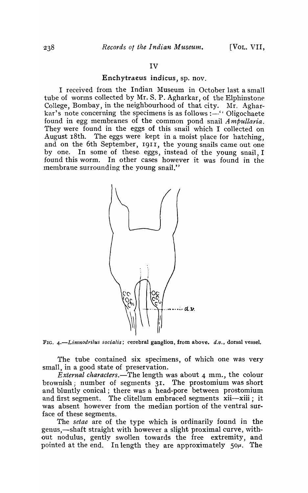### Enchytraeus indicus, sp. nov.

I received from the Indian Museum in October last a small tube of worrns collected by Mr. S. P. Agharkar, of the Elphinstone College, Bombay, in the neighbourhood of that city. Mr. Agharkar's note concerning the specimens is as follows  $: -$ " Oligochaete found in egg membranes of the common pond snail *Ampullaria*. They were found in the eggs of this snail which I collected on August 18th. The eggs were kept in a moist place for hatching, and on the 6th September, 1911, the young snails came out one by one. In some of these. eggs, instead of the young snail, I found this worm. In other cases however it was found in the membrane surrounding the young snail."



FIG. *4.-Limnodrilus socialis;* cerebral ganglion, from above. *d.v.,* dorsal vessel.

The tube contained six specimens, of which one was very small, in a good state of preservation.

*External characters.-The* length was about 4 mm., the colour brownish; number of segments 31. The prostomium was short and bluntly conical; there was a head-pore between prostomium and first segment. The clitellum embraced segments xii-xiii; it was absent however from the median portion of the ventral surface of these segments.

The *setae* are of the type which is ordinarily found in the genus,-shaft straight with however a slight proximal curve, without nodulus, gently swollen towards the free extremity, and pointed at the end. In length they are approximately  $50\mu$ . The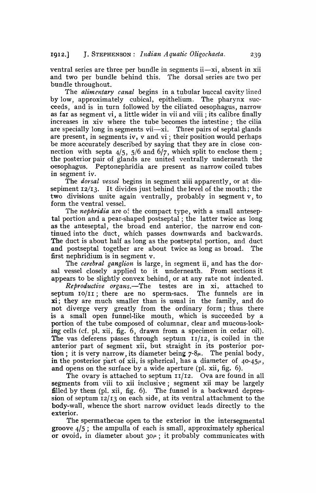ventral series are three per bundle in segments ii-xi, absent in xii and two per bundle behind this. The dorsal series are two per bundle throughout.

The *alimentary canal* begins in a tubular buccal cavity lined by low, approximately cubical, epithelium. The pharynx succeeds, and is in turn followed by the ciliated oesophagus, narrow as far as segment vi, a little wider in vii and viii; its calibre finally increases in xiv where the tube becomes the intestine; the cilia are specially long in segments vii—xi. Three pairs of septal glands are present, in segments iv, v and vi ; their position would perhaps be more accurately described by saying that they are in close connection with septa  $4/5$ ,  $5/6$  and  $6/7$ , which split to enclose them; the posterior pair of glands are united ventrally underneath the oesophagus. Peptonephridia are present as narrow coiled tubes in segment iv.

The *dorsal vessel* begins in segment xiii apparently, or at dissepiment 12/13. It divides just behind the level of the mouth; the two divisions unite again ventrally, probably in segment v, to form the ventral vessel.

The *nephridia* are of the compact type, with a small anteseptal portion and a pear-shaped postseptal ; the latter twice as long as the anteseptal, the broad end anterior, the narrow end continued into the duct, which passes downwards and backwards. The duct is about half as long as the postseptal portion, and duct and postseptal together are about twice as long as broad. The first nephridium is in segment v.

The *cerebral ganglion* is large, in segment ii, and has the dorsal vessel closely applied to it underneath. From sections it appears to be slightly convex behind, or at any rate not indented.

*Reproductive organs.-The* testes are in xi, attached to septum 10/11; there are no sperm-sacs. The funnels are in xi; they are much smaller than is usual in the family, and do not diverge very greatly from the ordinary form; thus there is a small open funnel-like mouth, which is succeeded by a portion of the tube composed of columnar, clear and mucous-looking cells (cf. pI. xii, fig. 6, drawn from a specimen in cedar oil). The vas deferens passes through septum  $I1/I2$ , is coiled in the anterior part of segment xii, but straight in its posterior portion; it is very narrow, its diameter being  $7-8\mu$ . The penial body, in the posterior part of xii, is spherical, has a diameter of  $40-45\mu$ , and opens on the surface by a wide aperture (pI. xii, fig. 6).

The ovary is attached to septum  $I1/I2$ . Ova are found in all segments from viii to xii inclusive; segment xii may be largely filled by them (pl. xii, fig. 6). The funnel is a backward depression of septum 12/13 on each side, at its ventral attachment to the body-wall, whence the short narrow oviduct leads directly to the exterior.

The spermathecae open to the exterior in the intersegmental groove  $4/5$ ; the ampulla of each is small, approximately spherical or ovoid, in diameter about  $30\mu$ ; it probably communicates with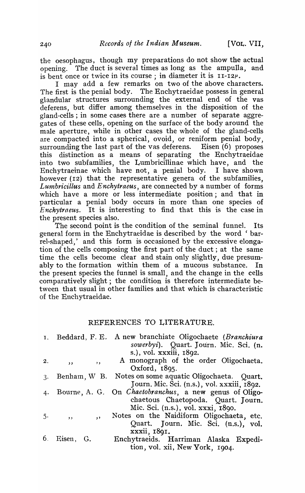the oesophagus, though my preparations do not show the actual opening. The duct is several times as long as the ampulla, and is bent once or twice in its course; in diameter it is  $11-T2$ .

I may add a few remarks on two of the above characters. The first is the penial body. The Enchytraeidae possess in general glandular structures surrounding the external end of the vas deferens, but differ among themselves in the disposition of the gland-cells; in some cases there are a number of separate aggregates of these cells, opening on the surface of the body around the male aperture, while in other cases the whole of the gland-cells are compacted into a spherical, ovoid, or reniform penial body, surrounding the last part of the vas deferens. Eisen (6) proposes this distinction as a means of separating the Enchytraeidae into two subfamilies, the Lumbricillinae which have, and the Enchytraeinae which have not, a penial body. I have shown however (12) that the representative genera of the subfamilies. *Luntbricillus* and *Enchytraeus,* are connected by a number of forms which have a more or less intermediate position; and that in particular a penial body occurs in more than one species of *Enchytraeus.* It is interesting to find that this is the case in the present species also.

The second point is the condition of the seminal funnel. Its general form in the Enchytraeidae is described by the word 'barrel-shaped,' and this form is occasioned by the excessive elongation of the cells composing the first part of the duct; at the same time the cells become clear and stain only slightly, due presumably to the formation within them of a mucous substance. In the present species the funnel is small, and the change in the cells comparatively slight; the condition is therefore intermediate between that usual in other families and that which is characteristic of the Enchytraeidae.

# REFERENCES TO LITERATURE.

|    | I. Beddard, F. E.                                   | A new branchiate Oligochaete (Branchiura                       |
|----|-----------------------------------------------------|----------------------------------------------------------------|
|    |                                                     | sowerbyi). Quart. Journ. Mic. Sci. (n.                         |
|    |                                                     | s.), vol. xxxiii, 1892.                                        |
| 2. | , ,<br>$\overline{\phantom{a}}$                     | A monograph of the order Oligochaeta.                          |
|    |                                                     | Oxford, $1895$ .                                               |
| 3. | Benham, W B.                                        | Notes on some aquatic Oligochaeta. Quart.                      |
|    |                                                     | Journ. Mic. Sci. (n.s.), vol. xxxiii, 1892.                    |
| 4. |                                                     | Bourne, A. G. On <i>Chaetobranchus</i> , a new genus of Oligo- |
|    |                                                     | chaetous Chaetopoda. Quart. Journ.                             |
|    |                                                     | Mic. Sci. (n.s.), vol. xxxi, 1890.                             |
| 5. | $\overline{\mathbf{z}}$<br>$\overline{\phantom{a}}$ | Notes on the Naidiform Oligochaeta, etc.                       |
|    |                                                     | Quart. Journ. Mic. Sci. (n.s.), vol.                           |
|    |                                                     | xxxii, 1891.                                                   |
|    | 6. Eisen, G.                                        | Enchytraeids. Harriman Alaska Expedi-                          |
|    |                                                     | tion, vol. xii, New York, 1904.                                |